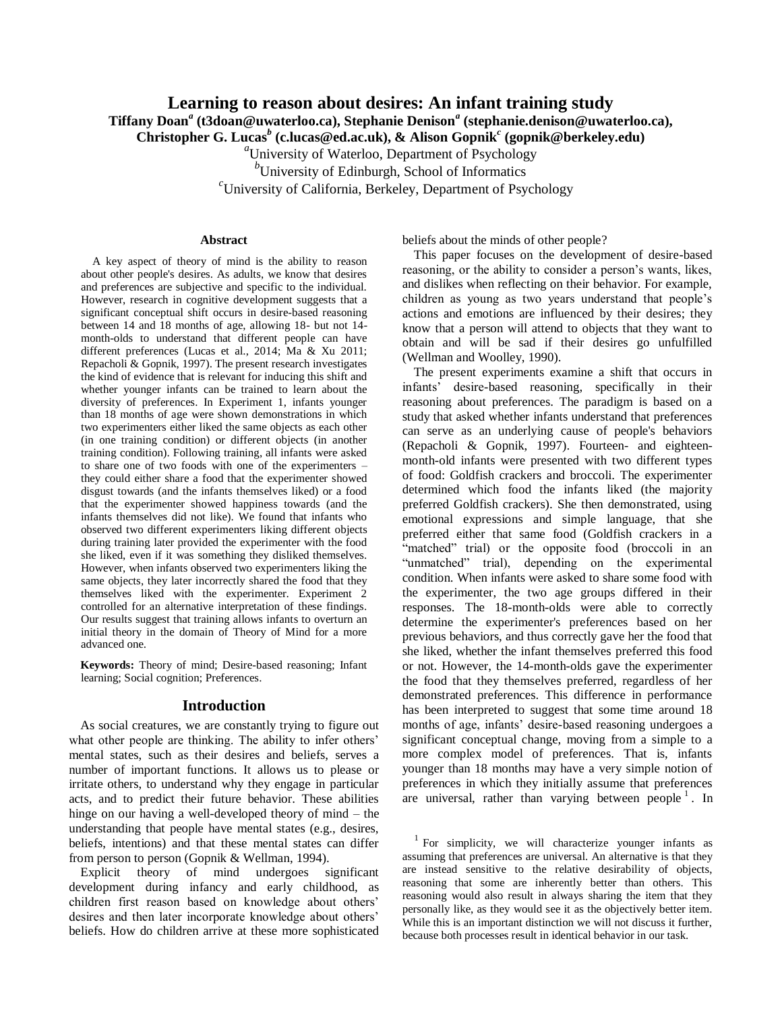# **Learning to reason about desires: An infant training study**

**Tiffany Doan***<sup>a</sup>* **(t3doan@uwaterloo.ca), Stephanie Denison***<sup>a</sup>* **(stephanie.denison@uwaterloo.ca),** 

**Christopher G. Lucas***<sup>b</sup>* **(c.lucas@ed.ac.uk), & Alison Gopnik***<sup>c</sup>* **(gopnik@berkeley.edu)**

*<sup>a</sup>*University of Waterloo, Department of Psychology

<sup>*b*</sup>University of Edinburgh, School of Informatics

*<sup>c</sup>*University of California, Berkeley, Department of Psychology

### **Abstract**

A key aspect of theory of mind is the ability to reason about other people's desires. As adults, we know that desires and preferences are subjective and specific to the individual. However, research in cognitive development suggests that a significant conceptual shift occurs in desire-based reasoning between 14 and 18 months of age, allowing 18- but not 14 month-olds to understand that different people can have different preferences (Lucas et al., 2014; Ma & Xu 2011; Repacholi & Gopnik, 1997). The present research investigates the kind of evidence that is relevant for inducing this shift and whether younger infants can be trained to learn about the diversity of preferences. In Experiment 1, infants younger than 18 months of age were shown demonstrations in which two experimenters either liked the same objects as each other (in one training condition) or different objects (in another training condition). Following training, all infants were asked to share one of two foods with one of the experimenters – they could either share a food that the experimenter showed disgust towards (and the infants themselves liked) or a food that the experimenter showed happiness towards (and the infants themselves did not like). We found that infants who observed two different experimenters liking different objects during training later provided the experimenter with the food she liked, even if it was something they disliked themselves. However, when infants observed two experimenters liking the same objects, they later incorrectly shared the food that they themselves liked with the experimenter. Experiment 2 controlled for an alternative interpretation of these findings. Our results suggest that training allows infants to overturn an initial theory in the domain of Theory of Mind for a more advanced one.

**Keywords:** Theory of mind; Desire-based reasoning; Infant learning; Social cognition; Preferences.

#### **Introduction**

As social creatures, we are constantly trying to figure out what other people are thinking. The ability to infer others' mental states, such as their desires and beliefs, serves a number of important functions. It allows us to please or irritate others, to understand why they engage in particular acts, and to predict their future behavior. These abilities hinge on our having a well-developed theory of mind – the understanding that people have mental states (e.g., desires, beliefs, intentions) and that these mental states can differ from person to person (Gopnik & Wellman, 1994).

Explicit theory of mind undergoes significant development during infancy and early childhood, as children first reason based on knowledge about others' desires and then later incorporate knowledge about others' beliefs. How do children arrive at these more sophisticated beliefs about the minds of other people?

This paper focuses on the development of desire-based reasoning, or the ability to consider a person's wants, likes, and dislikes when reflecting on their behavior. For example, children as young as two years understand that people's actions and emotions are influenced by their desires; they know that a person will attend to objects that they want to obtain and will be sad if their desires go unfulfilled (Wellman and Woolley, 1990).

The present experiments examine a shift that occurs in infants' desire-based reasoning, specifically in their reasoning about preferences. The paradigm is based on a study that asked whether infants understand that preferences can serve as an underlying cause of people's behaviors (Repacholi & Gopnik, 1997). Fourteen- and eighteenmonth-old infants were presented with two different types of food: Goldfish crackers and broccoli. The experimenter determined which food the infants liked (the majority preferred Goldfish crackers). She then demonstrated, using emotional expressions and simple language, that she preferred either that same food (Goldfish crackers in a "matched" trial) or the opposite food (broccoli in an "unmatched" trial), depending on the experimental condition. When infants were asked to share some food with the experimenter, the two age groups differed in their responses. The 18-month-olds were able to correctly determine the experimenter's preferences based on her previous behaviors, and thus correctly gave her the food that she liked, whether the infant themselves preferred this food or not. However, the 14-month-olds gave the experimenter the food that they themselves preferred, regardless of her demonstrated preferences. This difference in performance has been interpreted to suggest that some time around 18 months of age, infants' desire-based reasoning undergoes a significant conceptual change, moving from a simple to a more complex model of preferences. That is, infants younger than 18 months may have a very simple notion of preferences in which they initially assume that preferences are universal, rather than varying between people<sup>1</sup>. In

<sup>1</sup> For simplicity, we will characterize younger infants as assuming that preferences are universal. An alternative is that they are instead sensitive to the relative desirability of objects, reasoning that some are inherently better than others. This reasoning would also result in always sharing the item that they personally like, as they would see it as the objectively better item. While this is an important distinction we will not discuss it further, because both processes result in identical behavior in our task.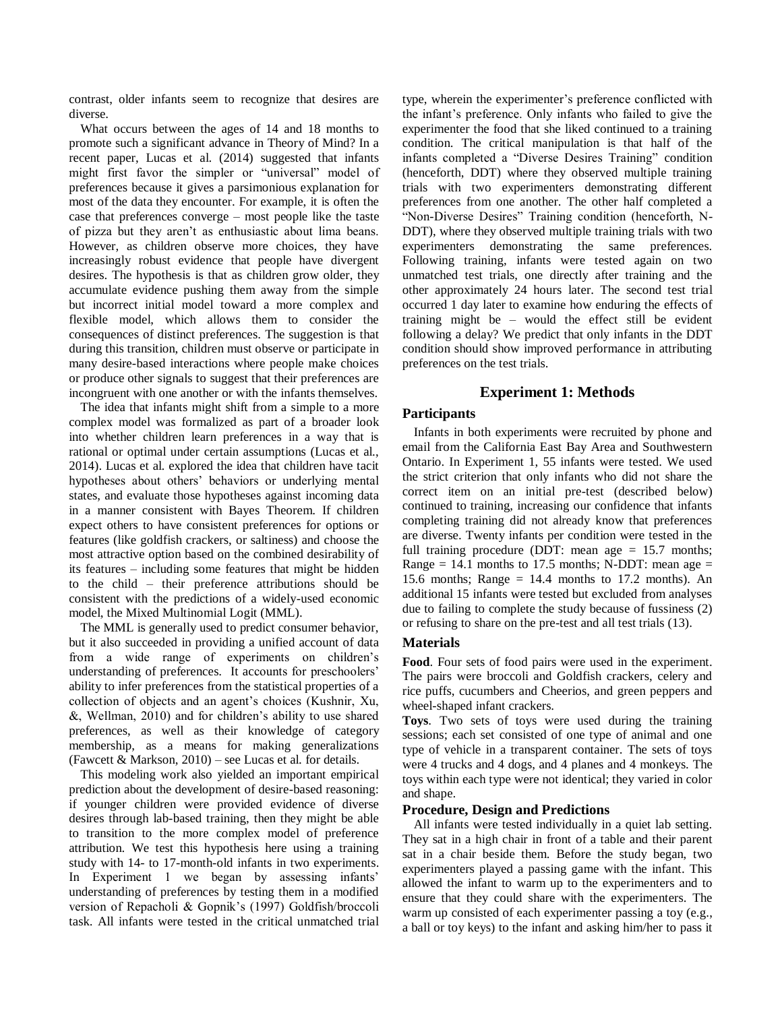contrast, older infants seem to recognize that desires are diverse.

What occurs between the ages of 14 and 18 months to promote such a significant advance in Theory of Mind? In a recent paper, Lucas et al. (2014) suggested that infants might first favor the simpler or "universal" model of preferences because it gives a parsimonious explanation for most of the data they encounter. For example, it is often the case that preferences converge – most people like the taste of pizza but they aren't as enthusiastic about lima beans. However, as children observe more choices, they have increasingly robust evidence that people have divergent desires. The hypothesis is that as children grow older, they accumulate evidence pushing them away from the simple but incorrect initial model toward a more complex and flexible model, which allows them to consider the consequences of distinct preferences. The suggestion is that during this transition, children must observe or participate in many desire-based interactions where people make choices or produce other signals to suggest that their preferences are incongruent with one another or with the infants themselves.

The idea that infants might shift from a simple to a more complex model was formalized as part of a broader look into whether children learn preferences in a way that is rational or optimal under certain assumptions (Lucas et al., 2014). Lucas et al. explored the idea that children have tacit hypotheses about others' behaviors or underlying mental states, and evaluate those hypotheses against incoming data in a manner consistent with Bayes Theorem. If children expect others to have consistent preferences for options or features (like goldfish crackers, or saltiness) and choose the most attractive option based on the combined desirability of its features – including some features that might be hidden to the child – their preference attributions should be consistent with the predictions of a widely-used economic model, the Mixed Multinomial Logit (MML).

The MML is generally used to predict consumer behavior, but it also succeeded in providing a unified account of data from a wide range of experiments on children's understanding of preferences. It accounts for preschoolers' ability to infer preferences from the statistical properties of a collection of objects and an agent's choices (Kushnir, Xu, &, Wellman, 2010) and for children's ability to use shared preferences, as well as their knowledge of category membership, as a means for making generalizations (Fawcett & Markson, 2010) – see Lucas et al. for details.

This modeling work also yielded an important empirical prediction about the development of desire-based reasoning: if younger children were provided evidence of diverse desires through lab-based training, then they might be able to transition to the more complex model of preference attribution. We test this hypothesis here using a training study with 14- to 17-month-old infants in two experiments. In Experiment 1 we began by assessing infants' understanding of preferences by testing them in a modified version of Repacholi & Gopnik's (1997) Goldfish/broccoli task. All infants were tested in the critical unmatched trial type, wherein the experimenter's preference conflicted with the infant's preference. Only infants who failed to give the experimenter the food that she liked continued to a training condition. The critical manipulation is that half of the infants completed a "Diverse Desires Training" condition (henceforth, DDT) where they observed multiple training trials with two experimenters demonstrating different preferences from one another. The other half completed a "Non-Diverse Desires" Training condition (henceforth, N-DDT), where they observed multiple training trials with two experimenters demonstrating the same preferences. Following training, infants were tested again on two unmatched test trials, one directly after training and the other approximately 24 hours later. The second test trial occurred 1 day later to examine how enduring the effects of training might be – would the effect still be evident following a delay? We predict that only infants in the DDT condition should show improved performance in attributing preferences on the test trials.

# **Experiment 1: Methods**

## **Participants**

Infants in both experiments were recruited by phone and email from the California East Bay Area and Southwestern Ontario. In Experiment 1, 55 infants were tested. We used the strict criterion that only infants who did not share the correct item on an initial pre-test (described below) continued to training, increasing our confidence that infants completing training did not already know that preferences are diverse. Twenty infants per condition were tested in the full training procedure (DDT: mean age  $= 15.7$  months; Range = 14.1 months to 17.5 months; N-DDT: mean age = 15.6 months; Range  $= 14.4$  months to 17.2 months). An additional 15 infants were tested but excluded from analyses due to failing to complete the study because of fussiness (2) or refusing to share on the pre-test and all test trials (13).

## **Materials**

**Food**. Four sets of food pairs were used in the experiment. The pairs were broccoli and Goldfish crackers, celery and rice puffs, cucumbers and Cheerios, and green peppers and wheel-shaped infant crackers.

**Toys**. Two sets of toys were used during the training sessions; each set consisted of one type of animal and one type of vehicle in a transparent container. The sets of toys were 4 trucks and 4 dogs, and 4 planes and 4 monkeys. The toys within each type were not identical; they varied in color and shape.

### **Procedure, Design and Predictions**

All infants were tested individually in a quiet lab setting. They sat in a high chair in front of a table and their parent sat in a chair beside them. Before the study began, two experimenters played a passing game with the infant. This allowed the infant to warm up to the experimenters and to ensure that they could share with the experimenters. The warm up consisted of each experimenter passing a toy (e.g., a ball or toy keys) to the infant and asking him/her to pass it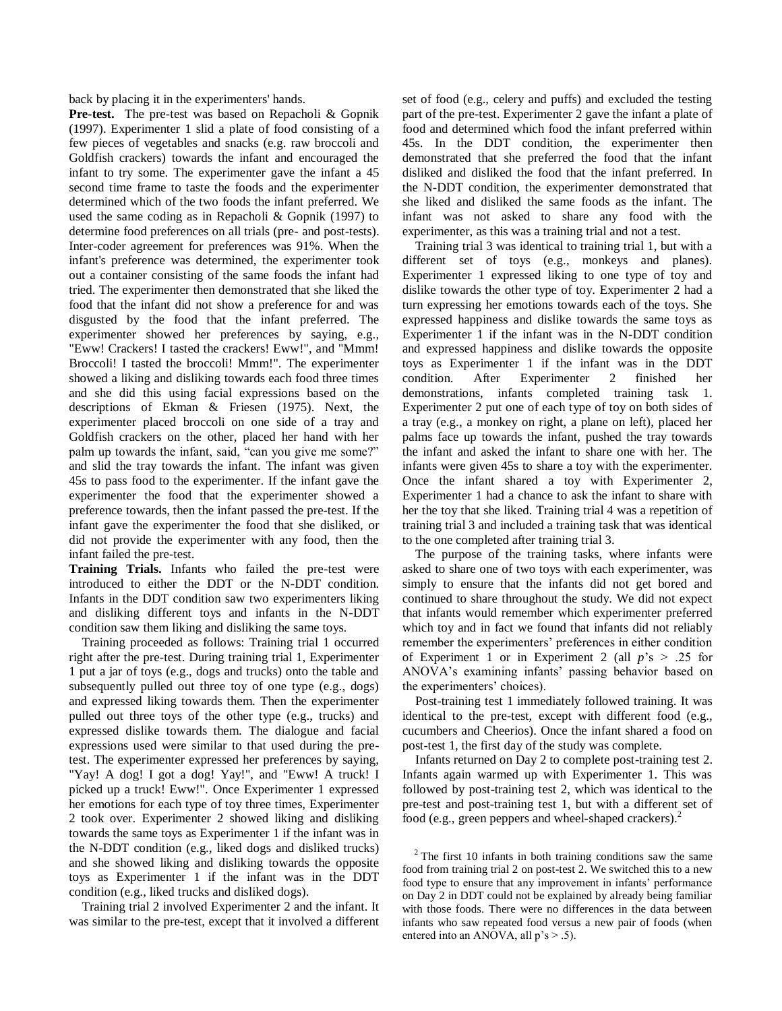back by placing it in the experimenters' hands.

**Pre-test.** The pre-test was based on Repacholi & Gopnik (1997). Experimenter 1 slid a plate of food consisting of a few pieces of vegetables and snacks (e.g. raw broccoli and Goldfish crackers) towards the infant and encouraged the infant to try some. The experimenter gave the infant a 45 second time frame to taste the foods and the experimenter determined which of the two foods the infant preferred. We used the same coding as in Repacholi & Gopnik (1997) to determine food preferences on all trials (pre- and post-tests). Inter-coder agreement for preferences was 91%. When the infant's preference was determined, the experimenter took out a container consisting of the same foods the infant had tried. The experimenter then demonstrated that she liked the food that the infant did not show a preference for and was disgusted by the food that the infant preferred. The experimenter showed her preferences by saying, e.g., "Eww! Crackers! I tasted the crackers! Eww!", and "Mmm! Broccoli! I tasted the broccoli! Mmm!". The experimenter showed a liking and disliking towards each food three times and she did this using facial expressions based on the descriptions of Ekman & Friesen (1975). Next, the experimenter placed broccoli on one side of a tray and Goldfish crackers on the other, placed her hand with her palm up towards the infant, said, "can you give me some?" and slid the tray towards the infant. The infant was given 45s to pass food to the experimenter. If the infant gave the experimenter the food that the experimenter showed a preference towards, then the infant passed the pre-test. If the infant gave the experimenter the food that she disliked, or did not provide the experimenter with any food, then the infant failed the pre-test.

**Training Trials.** Infants who failed the pre-test were introduced to either the DDT or the N-DDT condition. Infants in the DDT condition saw two experimenters liking and disliking different toys and infants in the N-DDT condition saw them liking and disliking the same toys.

 Training proceeded as follows: Training trial 1 occurred right after the pre-test. During training trial 1, Experimenter 1 put a jar of toys (e.g., dogs and trucks) onto the table and subsequently pulled out three toy of one type (e.g., dogs) and expressed liking towards them. Then the experimenter pulled out three toys of the other type (e.g., trucks) and expressed dislike towards them. The dialogue and facial expressions used were similar to that used during the pretest. The experimenter expressed her preferences by saying, "Yay! A dog! I got a dog! Yay!", and "Eww! A truck! I picked up a truck! Eww!". Once Experimenter 1 expressed her emotions for each type of toy three times, Experimenter 2 took over. Experimenter 2 showed liking and disliking towards the same toys as Experimenter 1 if the infant was in the N-DDT condition (e.g., liked dogs and disliked trucks) and she showed liking and disliking towards the opposite toys as Experimenter 1 if the infant was in the DDT condition (e.g., liked trucks and disliked dogs).

 Training trial 2 involved Experimenter 2 and the infant. It was similar to the pre-test, except that it involved a different set of food (e.g., celery and puffs) and excluded the testing part of the pre-test. Experimenter 2 gave the infant a plate of food and determined which food the infant preferred within 45s. In the DDT condition, the experimenter then demonstrated that she preferred the food that the infant disliked and disliked the food that the infant preferred. In the N-DDT condition, the experimenter demonstrated that she liked and disliked the same foods as the infant. The infant was not asked to share any food with the experimenter, as this was a training trial and not a test.

 Training trial 3 was identical to training trial 1, but with a different set of toys (e.g., monkeys and planes). Experimenter 1 expressed liking to one type of toy and dislike towards the other type of toy. Experimenter 2 had a turn expressing her emotions towards each of the toys. She expressed happiness and dislike towards the same toys as Experimenter 1 if the infant was in the N-DDT condition and expressed happiness and dislike towards the opposite toys as Experimenter 1 if the infant was in the DDT condition. After Experimenter 2 finished her demonstrations, infants completed training task 1. Experimenter 2 put one of each type of toy on both sides of a tray (e.g., a monkey on right, a plane on left), placed her palms face up towards the infant, pushed the tray towards the infant and asked the infant to share one with her. The infants were given 45s to share a toy with the experimenter. Once the infant shared a toy with Experimenter 2, Experimenter 1 had a chance to ask the infant to share with her the toy that she liked. Training trial 4 was a repetition of training trial 3 and included a training task that was identical to the one completed after training trial 3.

 The purpose of the training tasks, where infants were asked to share one of two toys with each experimenter, was simply to ensure that the infants did not get bored and continued to share throughout the study. We did not expect that infants would remember which experimenter preferred which toy and in fact we found that infants did not reliably remember the experimenters' preferences in either condition of Experiment 1 or in Experiment 2 (all  $p$ 's  $> .25$  for ANOVA's examining infants' passing behavior based on the experimenters' choices).

 Post-training test 1 immediately followed training. It was identical to the pre-test, except with different food (e.g., cucumbers and Cheerios). Once the infant shared a food on post-test 1, the first day of the study was complete.

 Infants returned on Day 2 to complete post-training test 2. Infants again warmed up with Experimenter 1. This was followed by post-training test 2, which was identical to the pre-test and post-training test 1, but with a different set of food (e.g., green peppers and wheel-shaped crackers).<sup>2</sup>

 $2$  The first 10 infants in both training conditions saw the same food from training trial 2 on post-test 2. We switched this to a new food type to ensure that any improvement in infants' performance on Day 2 in DDT could not be explained by already being familiar with those foods. There were no differences in the data between infants who saw repeated food versus a new pair of foods (when entered into an ANOVA, all  $p's > .5$ ).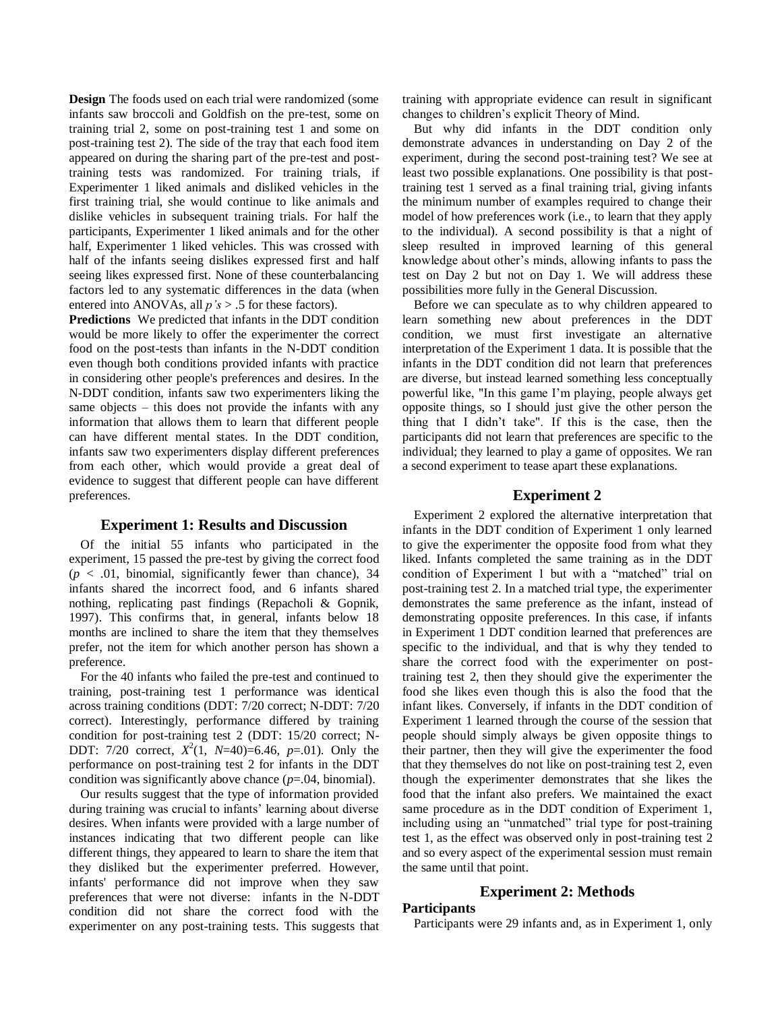**Design** The foods used on each trial were randomized (some infants saw broccoli and Goldfish on the pre-test, some on training trial 2, some on post-training test 1 and some on post-training test 2). The side of the tray that each food item appeared on during the sharing part of the pre-test and posttraining tests was randomized. For training trials, if Experimenter 1 liked animals and disliked vehicles in the first training trial, she would continue to like animals and dislike vehicles in subsequent training trials. For half the participants, Experimenter 1 liked animals and for the other half, Experimenter 1 liked vehicles. This was crossed with half of the infants seeing dislikes expressed first and half seeing likes expressed first. None of these counterbalancing factors led to any systematic differences in the data (when entered into ANOVAs, all *p's* > .5 for these factors).

**Predictions** We predicted that infants in the DDT condition would be more likely to offer the experimenter the correct food on the post-tests than infants in the N-DDT condition even though both conditions provided infants with practice in considering other people's preferences and desires. In the N-DDT condition, infants saw two experimenters liking the same objects – this does not provide the infants with any information that allows them to learn that different people can have different mental states. In the DDT condition, infants saw two experimenters display different preferences from each other, which would provide a great deal of evidence to suggest that different people can have different preferences.

### **Experiment 1: Results and Discussion**

Of the initial 55 infants who participated in the experiment, 15 passed the pre-test by giving the correct food  $(p < .01,$  binomial, significantly fewer than chance), 34 infants shared the incorrect food, and 6 infants shared nothing, replicating past findings (Repacholi & Gopnik, 1997). This confirms that, in general, infants below 18 months are inclined to share the item that they themselves prefer, not the item for which another person has shown a preference.

For the 40 infants who failed the pre-test and continued to training, post-training test 1 performance was identical across training conditions (DDT: 7/20 correct; N-DDT: 7/20 correct). Interestingly, performance differed by training condition for post-training test 2 (DDT: 15/20 correct; N-DDT: 7/20 correct,  $X^2(1, N=40)=6.46$ ,  $p=.01$ ). Only the performance on post-training test 2 for infants in the DDT condition was significantly above chance (*p*=.04, binomial).

Our results suggest that the type of information provided during training was crucial to infants' learning about diverse desires. When infants were provided with a large number of instances indicating that two different people can like different things, they appeared to learn to share the item that they disliked but the experimenter preferred. However, infants' performance did not improve when they saw preferences that were not diverse: infants in the N-DDT condition did not share the correct food with the experimenter on any post-training tests. This suggests that training with appropriate evidence can result in significant changes to children's explicit Theory of Mind.

But why did infants in the DDT condition only demonstrate advances in understanding on Day 2 of the experiment, during the second post-training test? We see at least two possible explanations. One possibility is that posttraining test 1 served as a final training trial, giving infants the minimum number of examples required to change their model of how preferences work (i.e., to learn that they apply to the individual). A second possibility is that a night of sleep resulted in improved learning of this general knowledge about other's minds, allowing infants to pass the test on Day 2 but not on Day 1. We will address these possibilities more fully in the General Discussion.

Before we can speculate as to why children appeared to learn something new about preferences in the DDT condition, we must first investigate an alternative interpretation of the Experiment 1 data. It is possible that the infants in the DDT condition did not learn that preferences are diverse, but instead learned something less conceptually powerful like, "In this game I'm playing, people always get opposite things, so I should just give the other person the thing that I didn't take". If this is the case, then the participants did not learn that preferences are specific to the individual; they learned to play a game of opposites. We ran a second experiment to tease apart these explanations.

### **Experiment 2**

Experiment 2 explored the alternative interpretation that infants in the DDT condition of Experiment 1 only learned to give the experimenter the opposite food from what they liked. Infants completed the same training as in the DDT condition of Experiment 1 but with a "matched" trial on post-training test 2. In a matched trial type, the experimenter demonstrates the same preference as the infant, instead of demonstrating opposite preferences. In this case, if infants in Experiment 1 DDT condition learned that preferences are specific to the individual, and that is why they tended to share the correct food with the experimenter on posttraining test 2, then they should give the experimenter the food she likes even though this is also the food that the infant likes. Conversely, if infants in the DDT condition of Experiment 1 learned through the course of the session that people should simply always be given opposite things to their partner, then they will give the experimenter the food that they themselves do not like on post-training test 2, even though the experimenter demonstrates that she likes the food that the infant also prefers. We maintained the exact same procedure as in the DDT condition of Experiment 1, including using an "unmatched" trial type for post-training test 1, as the effect was observed only in post-training test 2 and so every aspect of the experimental session must remain the same until that point.

### **Experiment 2: Methods**

### **Participants**

Participants were 29 infants and, as in Experiment 1, only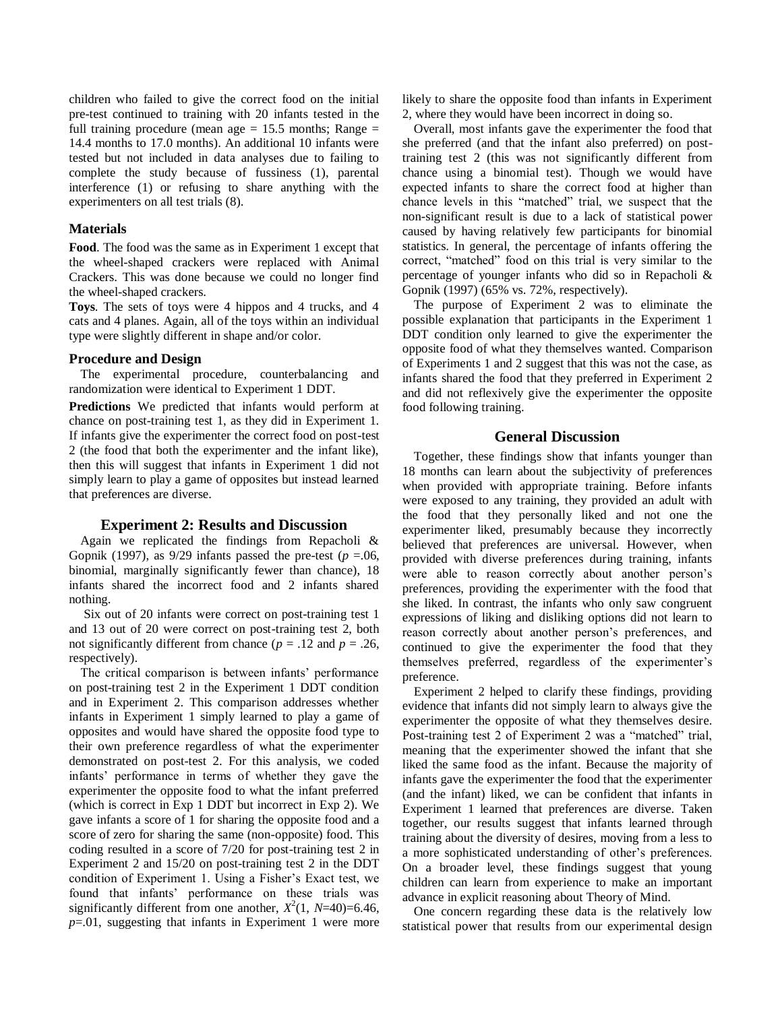children who failed to give the correct food on the initial pre-test continued to training with 20 infants tested in the full training procedure (mean age  $= 15.5$  months; Range  $=$ 14.4 months to 17.0 months). An additional 10 infants were tested but not included in data analyses due to failing to complete the study because of fussiness (1), parental interference (1) or refusing to share anything with the experimenters on all test trials (8).

### **Materials**

**Food**. The food was the same as in Experiment 1 except that the wheel-shaped crackers were replaced with Animal Crackers. This was done because we could no longer find the wheel-shaped crackers.

**Toys**. The sets of toys were 4 hippos and 4 trucks, and 4 cats and 4 planes. Again, all of the toys within an individual type were slightly different in shape and/or color.

### **Procedure and Design**

The experimental procedure, counterbalancing and randomization were identical to Experiment 1 DDT.

**Predictions** We predicted that infants would perform at chance on post-training test 1, as they did in Experiment 1. If infants give the experimenter the correct food on post-test 2 (the food that both the experimenter and the infant like), then this will suggest that infants in Experiment 1 did not simply learn to play a game of opposites but instead learned that preferences are diverse.

### **Experiment 2: Results and Discussion**

Again we replicated the findings from Repacholi & Gopnik (1997), as  $9/29$  infants passed the pre-test ( $p = .06$ , binomial, marginally significantly fewer than chance), 18 infants shared the incorrect food and 2 infants shared nothing.

Six out of 20 infants were correct on post-training test 1 and 13 out of 20 were correct on post-training test 2, both not significantly different from chance ( $p = .12$  and  $p = .26$ , respectively).

The critical comparison is between infants' performance on post-training test 2 in the Experiment 1 DDT condition and in Experiment 2. This comparison addresses whether infants in Experiment 1 simply learned to play a game of opposites and would have shared the opposite food type to their own preference regardless of what the experimenter demonstrated on post-test 2. For this analysis, we coded infants' performance in terms of whether they gave the experimenter the opposite food to what the infant preferred (which is correct in Exp 1 DDT but incorrect in Exp 2). We gave infants a score of 1 for sharing the opposite food and a score of zero for sharing the same (non-opposite) food. This coding resulted in a score of 7/20 for post-training test 2 in Experiment 2 and 15/20 on post-training test 2 in the DDT condition of Experiment 1. Using a Fisher's Exact test, we found that infants' performance on these trials was significantly different from one another,  $X^2(1, N=40)=6.46$ , *p*=.01, suggesting that infants in Experiment 1 were more

likely to share the opposite food than infants in Experiment 2, where they would have been incorrect in doing so.

Overall, most infants gave the experimenter the food that she preferred (and that the infant also preferred) on posttraining test 2 (this was not significantly different from chance using a binomial test). Though we would have expected infants to share the correct food at higher than chance levels in this "matched" trial, we suspect that the non-significant result is due to a lack of statistical power caused by having relatively few participants for binomial statistics. In general, the percentage of infants offering the correct, "matched" food on this trial is very similar to the percentage of younger infants who did so in Repacholi & Gopnik (1997) (65% vs. 72%, respectively).

The purpose of Experiment 2 was to eliminate the possible explanation that participants in the Experiment 1 DDT condition only learned to give the experimenter the opposite food of what they themselves wanted. Comparison of Experiments 1 and 2 suggest that this was not the case, as infants shared the food that they preferred in Experiment 2 and did not reflexively give the experimenter the opposite food following training.

## **General Discussion**

Together, these findings show that infants younger than 18 months can learn about the subjectivity of preferences when provided with appropriate training. Before infants were exposed to any training, they provided an adult with the food that they personally liked and not one the experimenter liked, presumably because they incorrectly believed that preferences are universal. However, when provided with diverse preferences during training, infants were able to reason correctly about another person's preferences, providing the experimenter with the food that she liked. In contrast, the infants who only saw congruent expressions of liking and disliking options did not learn to reason correctly about another person's preferences, and continued to give the experimenter the food that they themselves preferred, regardless of the experimenter's preference.

Experiment 2 helped to clarify these findings, providing evidence that infants did not simply learn to always give the experimenter the opposite of what they themselves desire. Post-training test 2 of Experiment 2 was a "matched" trial, meaning that the experimenter showed the infant that she liked the same food as the infant. Because the majority of infants gave the experimenter the food that the experimenter (and the infant) liked, we can be confident that infants in Experiment 1 learned that preferences are diverse. Taken together, our results suggest that infants learned through training about the diversity of desires, moving from a less to a more sophisticated understanding of other's preferences. On a broader level, these findings suggest that young children can learn from experience to make an important advance in explicit reasoning about Theory of Mind.

One concern regarding these data is the relatively low statistical power that results from our experimental design